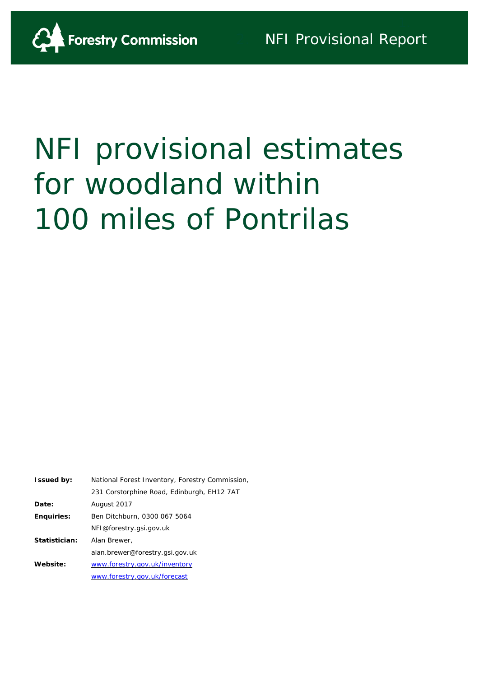

# NFI provisional estimates for woodland within 100 miles of Pontrilas

| <b>Issued by:</b> | National Forest Inventory, Forestry Commission, |
|-------------------|-------------------------------------------------|
|                   | 231 Corstorphine Road, Edinburgh, EH12 7AT      |
| Date:             | August 2017                                     |
| <b>Enquiries:</b> | Ben Ditchburn, 0300 067 5064                    |
|                   | NFI@forestry.gsi.gov.uk                         |
| Statistician:     | Alan Brewer,                                    |
|                   | alan.brewer@forestry.gsi.gov.uk                 |
| Website:          | www.forestry.gov.uk/inventory                   |
|                   | www.forestry.gov.uk/forecast                    |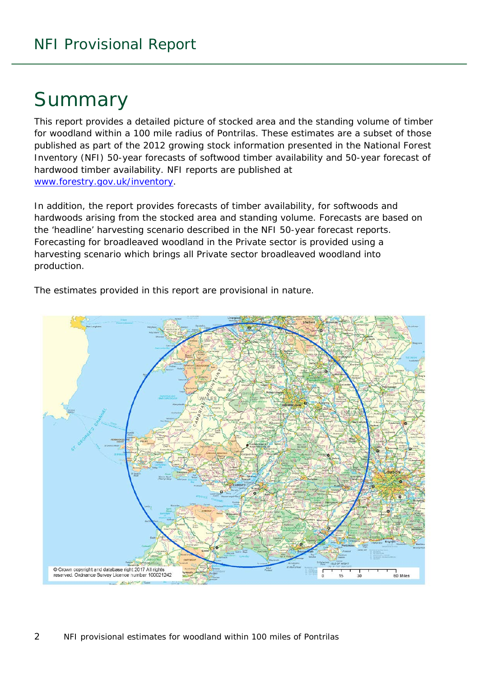## Summary

This report provides a detailed picture of stocked area and the standing volume of timber for woodland within a 100 mile radius of Pontrilas. These estimates are a subset of those published as part of the 2012 growing stock information presented in the National Forest Inventory (NFI) *50-year forecasts of softwood timber availability* and *50-year forecast of hardwood timber availability*. NFI reports are published at [www.forestry.gov.uk/inventory.](http://www.forestry.gov.uk/inventory)

In addition, the report provides forecasts of timber availability, for softwoods and hardwoods arising from the stocked area and standing volume. Forecasts are based on the 'headline' harvesting scenario described in the NFI 50-year forecast reports. Forecasting for broadleaved woodland in the Private sector is provided using a harvesting scenario which brings all Private sector broadleaved woodland into production.



The estimates provided in this report are provisional in nature.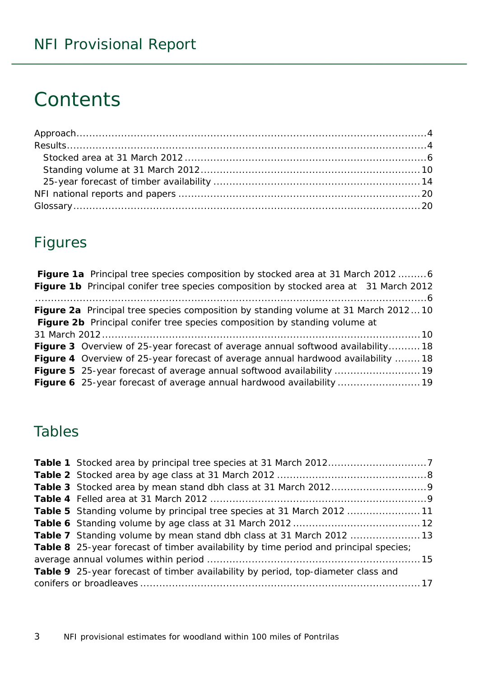## **Contents**

## Figures

| Figure 1a Principal tree species composition by stocked area at 31 March 2012 6           |  |
|-------------------------------------------------------------------------------------------|--|
| Figure 1b Principal conifer tree species composition by stocked area at 31 March 2012     |  |
|                                                                                           |  |
| <b>Figure 2a</b> Principal tree species composition by standing volume at 31 March 201210 |  |
| Figure 2b Principal conifer tree species composition by standing volume at                |  |
|                                                                                           |  |
| <b>Figure 3</b> Overview of 25-year forecast of average annual softwood availability18    |  |
| <b>Figure 4</b> Overview of 25-year forecast of average annual hardwood availability  18  |  |
|                                                                                           |  |
| Figure 6 25-year forecast of average annual hardwood availability  19                     |  |

### Tables

| <b>Table 5</b> Standing volume by principal tree species at 31 March 2012 11          |  |
|---------------------------------------------------------------------------------------|--|
|                                                                                       |  |
| <b>Table 7</b> Standing volume by mean stand dbh class at 31 March 2012 13            |  |
| Table 8 25-year forecast of timber availability by time period and principal species; |  |
|                                                                                       |  |
| Table 9 25-year forecast of timber availability by period, top-diameter class and     |  |
|                                                                                       |  |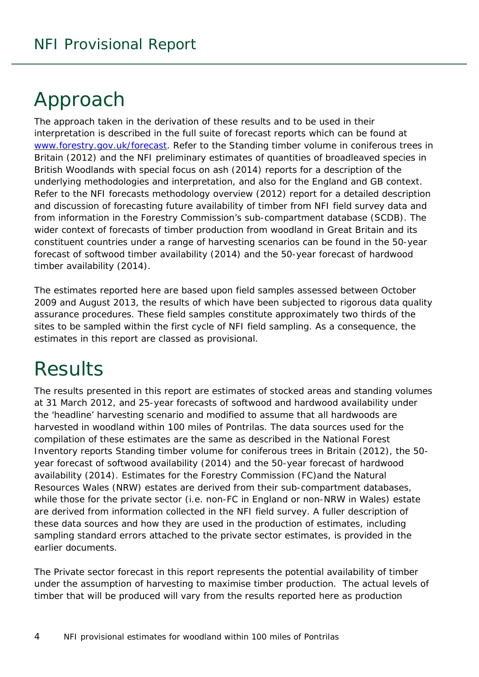## <span id="page-3-0"></span>Approach

The approach taken in the derivation of these results and to be used in their interpretation is described in the full suite of forecast reports which can be found at [www.forestry.gov.uk/forecast.](http://www.forestry.gov.uk/forecast) Refer to the *Standing timber volume in coniferous trees in Britain* (2012) and the *NFI preliminary estimates of quantities of broadleaved species in British Woodlands with special focus on ash* (2014) reports for a description of the underlying methodologies and interpretation, and also for the England and GB context. Refer to the *NFI forecasts methodology overview* (2012) report for a detailed description and discussion of forecasting future availability of timber from NFI field survey data and from information in the Forestry Commission's sub-compartment database (SCDB). The wider context of forecasts of timber production from woodland in Great Britain and its constituent countries under a range of harvesting scenarios can be found in the *50-year forecast of softwood timber availability* (2014) and the *50-year forecast of hardwood timber availability* (2014).

The estimates reported here are based upon field samples assessed between October 2009 and August 2013, the results of which have been subjected to rigorous data quality assurance procedures. These field samples constitute approximately two thirds of the sites to be sampled within the first cycle of NFI field sampling. As a consequence, the estimates in this report are classed as provisional.

## <span id="page-3-1"></span>**Results**

The results presented in this report are estimates of stocked areas and standing volumes at 31 March 2012, and 25-year forecasts of softwood and hardwood availability under the 'headline' harvesting scenario and modified to assume that all hardwoods are harvested in woodland within 100 miles of Pontrilas. The data sources used for the compilation of these estimates are the same as described in the National Forest Inventory reports *Standing timber volume for coniferous trees in Britain* (2012), the *50 year forecast of softwood availability* (2014) and the *50-year forecast of hardwood availability* (2014). Estimates for the Forestry Commission (FC)and the Natural Resources Wales (NRW) estates are derived from their sub-compartment databases, while those for the private sector (i.e. non-FC in England or non-NRW in Wales) estate are derived from information collected in the NFI field survey. A fuller description of these data sources and how they are used in the production of estimates, including sampling standard errors attached to the private sector estimates, is provided in the earlier documents.

The Private sector forecast in this report represents the potential availability of timber under the assumption of harvesting to maximise timber production. The actual levels of timber that will be produced will vary from the results reported here as production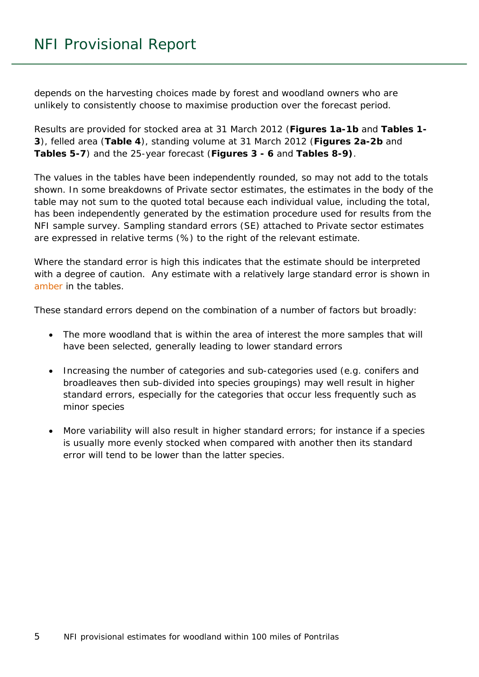depends on the harvesting choices made by forest and woodland owners who are unlikely to consistently choose to maximise production over the forecast period.

Results are provided for stocked area at 31 March 2012 (**Figures 1a-1b** and **Tables 1- 3**), felled area (**Table 4**), standing volume at 31 March 2012 (**Figures 2a-2b** and **Tables 5-7**) and the 25-year forecast (**Figures 3 - 6** and **Tables 8-9)**.

The values in the tables have been independently rounded, so may not add to the totals shown. In some breakdowns of Private sector estimates, the estimates in the body of the table may not sum to the quoted total because each individual value, including the total, has been independently generated by the estimation procedure used for results from the NFI sample survey. Sampling standard errors (SE) attached to Private sector estimates are expressed in relative terms (%) to the right of the relevant estimate.

Where the standard error is high this indicates that the estimate should be interpreted with a degree of caution. Any estimate with a relatively large standard error is shown in amber in the tables.

These standard errors depend on the combination of a number of factors but broadly:

- The more woodland that is within the area of interest the more samples that will have been selected, generally leading to lower standard errors
- Increasing the number of categories and sub-categories used (e.g. conifers and broadleaves then sub-divided into species groupings) may well result in higher standard errors, especially for the categories that occur less frequently such as minor species
- More variability will also result in higher standard errors; for instance if a species is usually more evenly stocked when compared with another then its standard error will tend to be lower than the latter species.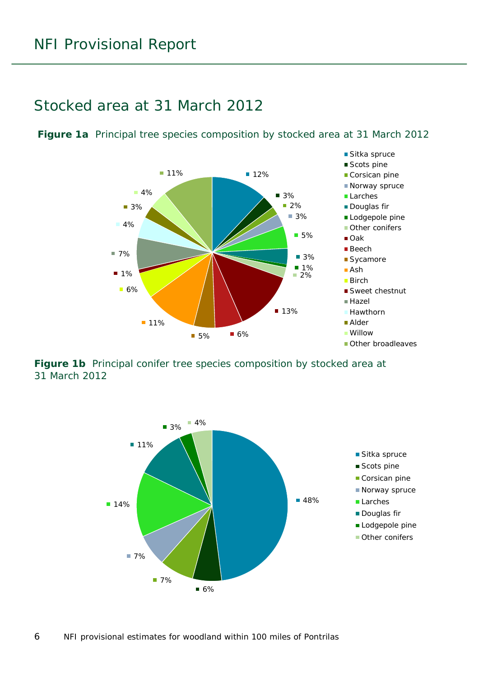### <span id="page-5-0"></span>Stocked area at 31 March 2012

<span id="page-5-1"></span>**Figure 1a** Principal tree species composition by stocked area at 31 March 2012



<span id="page-5-2"></span>**Figure 1b** Principal conifer tree species composition by stocked area at 31 March 2012

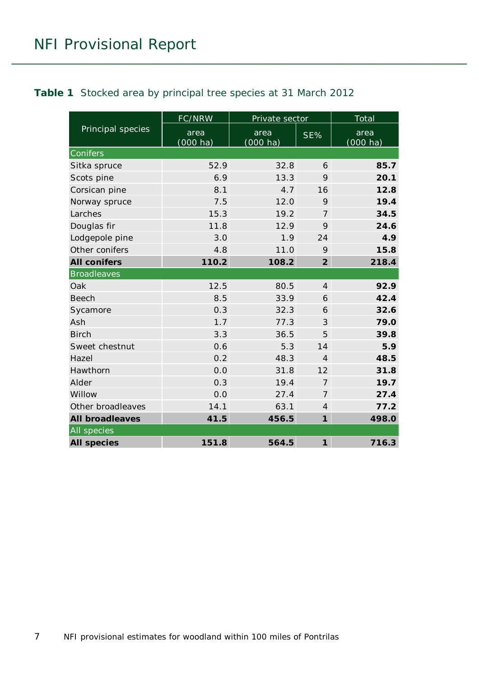<span id="page-6-0"></span>

|                        | FC/NRW              | Private sector             |                            | Total               |
|------------------------|---------------------|----------------------------|----------------------------|---------------------|
| Principal species      | area<br>$(000)$ ha) | area<br>$(000 \text{ ha})$ | SE%                        | area<br>$(000)$ ha) |
| Conifers               |                     |                            |                            |                     |
| Sitka spruce           | 52.9                | 32.8                       | 6                          | 85.7                |
| Scots pine             | 6.9                 | 13.3                       | 9                          | 20.1                |
| Corsican pine          | 8.1                 | 4.7                        | 16                         | 12.8                |
| Norway spruce          | 7.5                 | 12.0                       | 9                          | 19.4                |
| Larches                | 15.3                | 19.2                       | $\overline{7}$             | 34.5                |
| Douglas fir            | 11.8                | 12.9                       | 9                          | 24.6                |
| Lodgepole pine         | 3.0                 | 1.9                        | 24                         | 4.9                 |
| Other conifers         | 4.8                 | 11.0                       | 9                          | 15.8                |
| <b>All conifers</b>    | 110.2               | 108.2                      | $\overline{2}$             | 218.4               |
| <b>Broadleaves</b>     |                     |                            |                            |                     |
| Oak                    | 12.5                | 80.5                       | $\overline{4}$             | 92.9                |
| <b>Beech</b>           | 8.5                 | 33.9                       | 6                          | 42.4                |
| Sycamore               | 0.3                 | 32.3                       | 6                          | 32.6                |
| Ash                    | 1.7                 | 77.3                       | 3                          | 79.0                |
| <b>Birch</b>           | 3.3                 | 36.5                       | 5                          | 39.8                |
| Sweet chestnut         | 0.6                 | 5.3                        | 14                         | 5.9                 |
| Hazel                  | 0.2                 | 48.3                       | $\overline{4}$             | 48.5                |
| Hawthorn               | 0.0                 | 31.8                       | 12                         | 31.8                |
| Alder                  | 0.3                 | 19.4                       | $\overline{7}$             | 19.7                |
| Willow                 | 0.0                 | 27.4                       | $\overline{7}$             | 27.4                |
| Other broadleaves      | 14.1                | 63.1                       | $\overline{4}$             | 77.2                |
| <b>All broadleaves</b> | 41.5                | 456.5                      | $\mathbf{1}$               | 498.0               |
| All species            |                     |                            |                            |                     |
| <b>All species</b>     | 151.8               | 564.5                      | $\boldsymbol{\mathcal{I}}$ | 716.3               |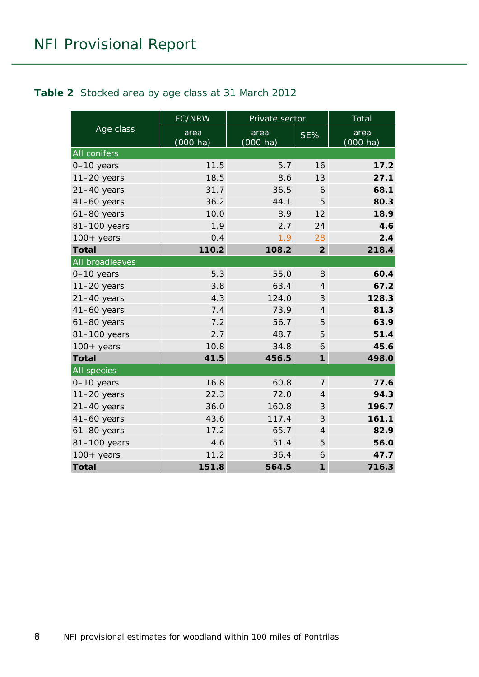#### <span id="page-7-0"></span>**Table 2** Stocked area by age class at 31 March 2012

|                    | FC/NRW                     | Private sector             |                | Total                      |
|--------------------|----------------------------|----------------------------|----------------|----------------------------|
| Age class          | area<br>$(000 \text{ ha})$ | area<br>$(000 \text{ ha})$ | SE%            | area<br>$(000 \text{ ha})$ |
| All conifers       |                            |                            |                |                            |
| $0-10$ years       | 11.5                       | 5.7                        | 16             | 17.2                       |
| $11-20$ years      | 18.5                       | 8.6                        | 13             | 27.1                       |
| $21-40$ years      | 31.7                       | 36.5                       | 6              | 68.1                       |
| $41-60$ years      | 36.2                       | 44.1                       | 5              | 80.3                       |
| $61-80$ years      | 10.0                       | 8.9                        | 12             | 18.9                       |
| 81-100 years       | 1.9                        | 2.7                        | 24             | 4.6                        |
| $100+$ years       | 0.4                        | 1.9                        | 28             | 2.4                        |
| <b>Total</b>       | 110.2                      | 108.2                      | $\overline{2}$ | 218.4                      |
| All broadleaves    |                            |                            |                |                            |
| 0-10 years         | 5.3                        | 55.0                       | 8              | 60.4                       |
| $11-20$ years      | 3.8                        | 63.4                       | $\overline{4}$ | 67.2                       |
| $21-40$ years      | 4.3                        | 124.0                      | 3              | 128.3                      |
| $41-60$ years      | 7.4                        | 73.9                       | $\overline{4}$ | 81.3                       |
| $61-80$ years      | 7.2                        | 56.7                       | 5              | 63.9                       |
| 81-100 years       | 2.7                        | 48.7                       | 5              | 51.4                       |
| $100+$ years       | 10.8                       | 34.8                       | 6              | 45.6                       |
| <b>Total</b>       | 41.5                       | 456.5                      | $\mathbf{1}$   | 498.0                      |
| <b>All species</b> |                            |                            |                |                            |
| $0-10$ years       | 16.8                       | 60.8                       | $\overline{7}$ | 77.6                       |
| $11-20$ years      | 22.3                       | 72.0                       | $\overline{4}$ | 94.3                       |
| $21-40$ years      | 36.0                       | 160.8                      | 3              | 196.7                      |
| $41-60$ years      | 43.6                       | 117.4                      | 3              | 161.1                      |
| $61-80$ years      | 17.2                       | 65.7                       | $\overline{4}$ | 82.9                       |
| 81-100 years       | 4.6                        | 51.4                       | 5              | 56.0                       |
| $100+$ years       | 11.2                       | 36.4                       | 6              | 47.7                       |
| <b>Total</b>       | 151.8                      | 564.5                      | $\mathbf{1}$   | 716.3                      |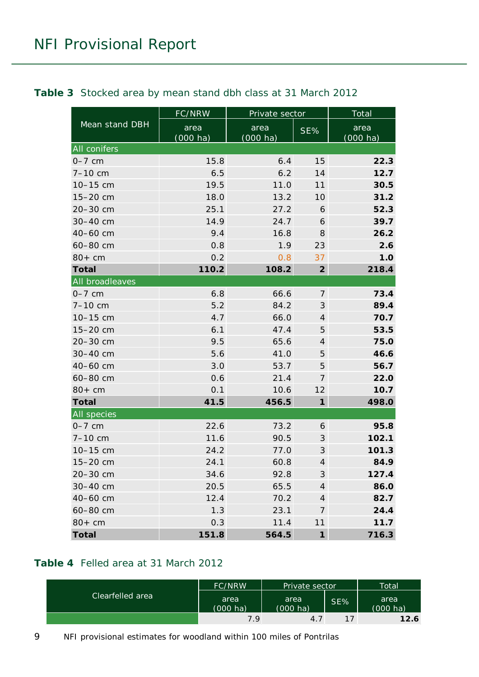|                 | <b>FC/NRW</b>    | Private sector                    |                            | <b>Total</b>               |
|-----------------|------------------|-----------------------------------|----------------------------|----------------------------|
| Mean stand DBH  | area<br>(000 ha) | area<br>SE%<br>$(000 \text{ ha})$ |                            | area<br>$(000 \text{ ha})$ |
| All conifers    |                  |                                   |                            |                            |
| $0-7$ cm        | 15.8             | 6.4                               | 15                         | 22.3                       |
| $7 - 10$ cm     | 6.5              | 6.2                               | 14                         | 12.7                       |
| 10-15 cm        | 19.5             | 11.0                              | 11                         | 30.5                       |
| 15-20 cm        | 18.0             | 13.2                              | 10                         | 31.2                       |
| 20-30 cm        | 25.1             | 27.2                              | 6                          | 52.3                       |
| 30-40 cm        | 14.9             | 24.7                              | 6                          | 39.7                       |
| 40-60 cm        | 9.4              | 16.8                              | 8                          | 26.2                       |
| 60-80 cm        | 0.8              | 1.9                               | 23                         | 2.6                        |
| $80+cm$         | 0.2              | 0.8                               | 37                         | 1.0                        |
| <b>Total</b>    | 110.2            | 108.2                             | $\overline{2}$             | 218.4                      |
| All broadleaves |                  |                                   |                            |                            |
| $0-7$ cm        | 6.8              | 66.6                              | $\overline{7}$             | 73.4                       |
| $7 - 10$ cm     | 5.2              | 84.2                              | $\ensuremath{\mathcal{S}}$ | 89.4                       |
| 10-15 cm        | 4.7              | 66.0                              | $\overline{4}$             | 70.7                       |
| 15-20 cm        | 6.1              | 47.4                              | 5                          | 53.5                       |
| 20-30 cm        | 9.5              | 65.6                              | $\overline{4}$             | 75.0                       |
| 30-40 cm        | 5.6              | 41.0                              | 5                          | 46.6                       |
| 40-60 cm        | 3.0              | 53.7                              | 5                          | 56.7                       |
| 60-80 cm        | 0.6              | 21.4                              | $\overline{7}$             | 22.0                       |
| $80+cm$         | 0.1              | 10.6                              | 12                         | 10.7                       |
| <b>Total</b>    | 41.5             | 456.5                             | $\boldsymbol{\mathcal{I}}$ | 498.0                      |
| All species     |                  |                                   |                            |                            |
| $0-7$ cm        | 22.6             | 73.2                              | 6                          | 95.8                       |
| $7 - 10$ cm     | 11.6             | 90.5                              | 3                          | 102.1                      |
| 10-15 cm        | 24.2             | 77.0                              | $\ensuremath{\mathcal{S}}$ | 101.3                      |
| 15-20 cm        | 24.1             | 60.8                              | $\overline{4}$             | 84.9                       |
| 20-30 cm        | 34.6             | 92.8                              | 3                          | 127.4                      |
| 30-40 cm        | 20.5             | 65.5                              | $\overline{\mathcal{A}}$   | 86.0                       |
| 40-60 cm        | 12.4             | 70.2                              | $\overline{4}$             | 82.7                       |
| 60-80 cm        | 1.3              | 23.1                              | $\overline{7}$             | 24.4                       |
| $80+cm$         | 0.3              | 11.4                              | 11                         | 11.7                       |
| <b>Total</b>    | 151.8            | 564.5                             | $\boldsymbol{\eta}$        | 716.3                      |

#### <span id="page-8-0"></span>**Table 3** Stocked area by mean stand dbh class at 31 March 2012

#### <span id="page-8-1"></span>**Table 4** Felled area at 31 March 2012

|                  | <b>FC/NRW</b>              | Private sector             |     | Total                      |
|------------------|----------------------------|----------------------------|-----|----------------------------|
| Clearfelled area | area<br>$(000 \text{ ha})$ | area<br>$(000 \text{ ha})$ | SE% | area<br>$(000 \text{ ha})$ |
|                  | 7.9                        | 4.7                        | 17  | 12.6                       |

9 NFI provisional estimates for woodland within 100 miles of Pontrilas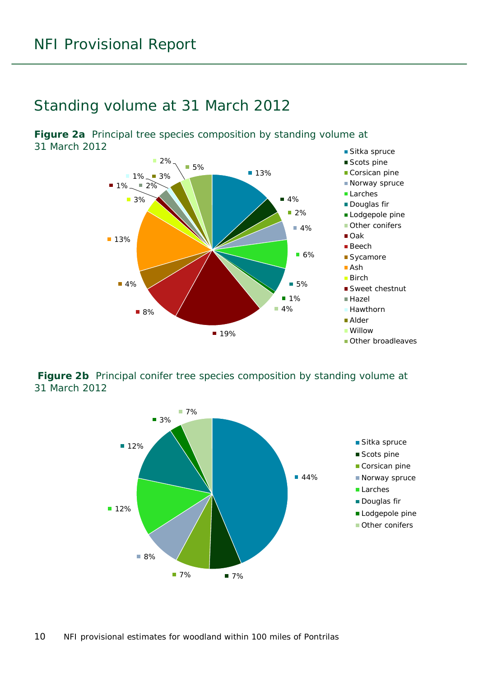### <span id="page-9-0"></span>Standing volume at 31 March 2012

<span id="page-9-1"></span>**Figure 2a** Principal tree species composition by standing volume at 31 March 2012



#### <span id="page-9-2"></span>**Figure 2b** Principal conifer tree species composition by standing volume at 31 March 2012

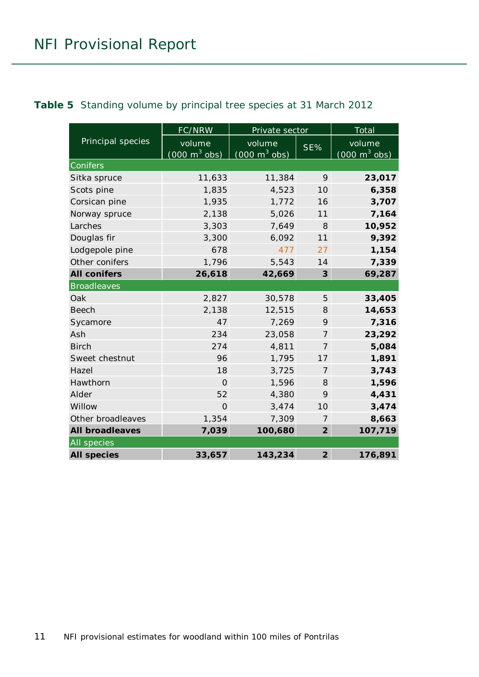<span id="page-10-0"></span>

|  |  |  | Table 5 Standing volume by principal tree species at 31 March 2012 |  |
|--|--|--|--------------------------------------------------------------------|--|
|--|--|--|--------------------------------------------------------------------|--|

|                        | FC/NRW                          | Private sector                  |                         | Total                           |
|------------------------|---------------------------------|---------------------------------|-------------------------|---------------------------------|
| Principal species      | volume                          | volume                          | SE%                     | volume                          |
|                        | $(000 \text{ m}^3 \text{ obs})$ | $(000 \text{ m}^3 \text{ obs})$ |                         | $(000 \text{ m}^3 \text{ obs})$ |
| Conifers               |                                 |                                 |                         |                                 |
| Sitka spruce           | 11,633                          | 11,384                          | 9                       | 23,017                          |
| Scots pine             | 1,835                           | 4,523                           | 10                      | 6,358                           |
| Corsican pine          | 1,935                           | 1,772                           | 16                      | 3,707                           |
| Norway spruce          | 2,138                           | 5,026                           | 11                      | 7,164                           |
| Larches                | 3,303                           | 7,649                           | 8                       | 10,952                          |
| Douglas fir            | 3,300                           | 6,092                           | 11                      | 9,392                           |
| Lodgepole pine         | 678                             | 477                             | 27                      | 1,154                           |
| Other conifers         | 1,796                           | 5,543                           | 14                      | 7,339                           |
| <b>All conifers</b>    | 26,618                          | 42,669                          | $\overline{\mathbf{3}}$ | 69,287                          |
| <b>Broadleaves</b>     |                                 |                                 |                         |                                 |
| Oak                    | 2,827                           | 30,578                          | 5                       | 33,405                          |
| <b>Beech</b>           | 2,138                           | 12,515                          | 8                       | 14,653                          |
| Sycamore               | 47                              | 7,269                           | 9                       | 7,316                           |
| Ash                    | 234                             | 23,058                          | $\overline{7}$          | 23,292                          |
| <b>Birch</b>           | 274                             | 4,811                           | 7                       | 5,084                           |
| Sweet chestnut         | 96                              | 1,795                           | 17                      | 1,891                           |
| Hazel                  | 18                              | 3,725                           | $\overline{7}$          | 3,743                           |
| Hawthorn               | $\Omega$                        | 1,596                           | 8                       | 1,596                           |
| Alder                  | 52                              | 4,380                           | 9                       | 4,431                           |
| Willow                 | $\Omega$                        | 3,474                           | 10                      | 3,474                           |
| Other broadleaves      | 1,354                           | 7,309                           | 7                       | 8,663                           |
| <b>All broadleaves</b> | 7,039                           | 100,680                         | $\overline{2}$          | 107,719                         |
| All species            |                                 |                                 |                         |                                 |
| <b>All species</b>     | 33,657                          | 143,234                         | $\overline{2}$          | 176,891                         |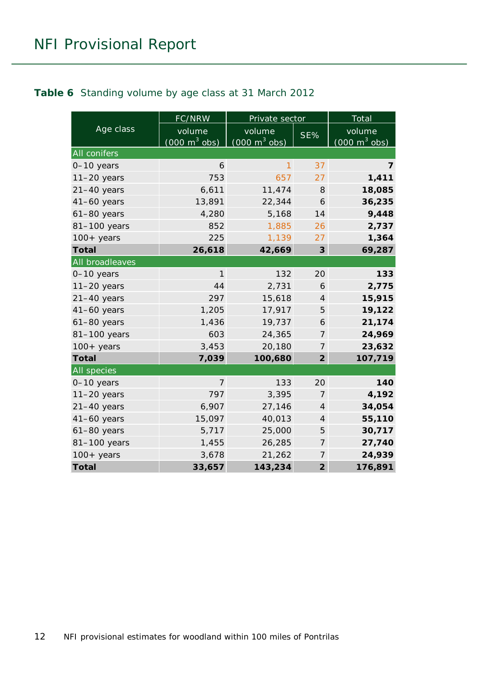#### <span id="page-11-0"></span>**Table 6** Standing volume by age class at 31 March 2012

|                    | <b>FC/NRW</b>                             | Private sector                            |                | Total                                     |
|--------------------|-------------------------------------------|-------------------------------------------|----------------|-------------------------------------------|
| Age class          | volume<br>$(000 \text{ m}^3 \text{ obs})$ | volume<br>$(000 \text{ m}^3 \text{ obs})$ | SE%            | volume<br>$(000 \text{ m}^3 \text{ obs})$ |
| All conifers       |                                           |                                           |                |                                           |
| 0-10 years         | 6                                         | 1                                         | 37             | 7                                         |
| $11-20$ years      | 753                                       | 657                                       | 27             | 1,411                                     |
| $21-40$ years      | 6,611                                     | 11,474                                    | 8              | 18,085                                    |
| $41-60$ years      | 13,891                                    | 22,344                                    | 6              | 36,235                                    |
| $61-80$ years      | 4,280                                     | 5,168                                     | 14             | 9,448                                     |
| 81-100 years       | 852                                       | 1,885                                     | 26             | 2,737                                     |
| $100+$ years       | 225                                       | 1,139                                     | 27             | 1,364                                     |
| <b>Total</b>       | 26,618                                    | 42,669                                    | 3              | 69,287                                    |
| All broadleaves    |                                           |                                           |                |                                           |
| $0-10$ years       | $\mathbf{1}$                              | 132                                       | 20             | 133                                       |
| $11-20$ years      | 44                                        | 2,731                                     | 6              | 2,775                                     |
| $21-40$ years      | 297                                       | 15,618                                    | $\overline{4}$ | 15,915                                    |
| $41-60$ years      | 1,205                                     | 17,917                                    | 5              | 19,122                                    |
| $61-80$ years      | 1,436                                     | 19,737                                    | 6              | 21,174                                    |
| 81-100 years       | 603                                       | 24,365                                    | 7              | 24,969                                    |
| $100+$ years       | 3,453                                     | 20,180                                    | $\overline{7}$ | 23,632                                    |
| <b>Total</b>       | 7,039                                     | 100,680                                   | $\overline{2}$ | 107,719                                   |
| <b>All</b> species |                                           |                                           |                |                                           |
| 0-10 years         | $\overline{7}$                            | 133                                       | 20             | 140                                       |
| $11-20$ years      | 797                                       | 3,395                                     | $\overline{7}$ | 4,192                                     |
| $21-40$ years      | 6,907                                     | 27,146                                    | $\overline{4}$ | 34,054                                    |
| $41-60$ years      | 15,097                                    | 40,013                                    | $\overline{4}$ | 55,110                                    |
| $61-80$ years      | 5,717                                     | 25,000                                    | 5              | 30,717                                    |
| 81-100 years       | 1,455                                     | 26,285                                    | $\overline{7}$ | 27,740                                    |
| $100 + years$      | 3,678                                     | 21,262                                    | 7              | 24,939                                    |
| <b>Total</b>       | 33,657                                    | 143,234                                   | $\overline{2}$ | 176,891                                   |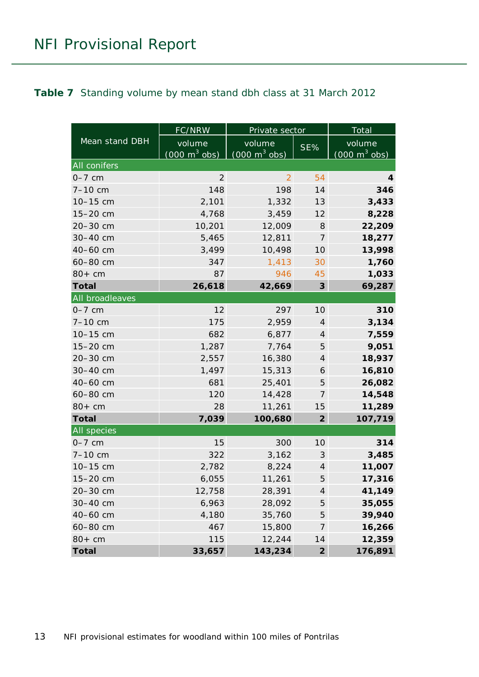#### <span id="page-12-0"></span>**Table 7** Standing volume by mean stand dbh class at 31 March 2012

|                 | FC/NRW                          | Private sector                  | <b>Total</b>                  |                                 |  |  |  |
|-----------------|---------------------------------|---------------------------------|-------------------------------|---------------------------------|--|--|--|
| Mean stand DBH  | volume                          | volume                          | SE%                           | volume                          |  |  |  |
|                 | $(000 \text{ m}^3 \text{ obs})$ | $(000 \text{ m}^3 \text{ obs})$ |                               | $(000 \text{ m}^3 \text{ obs})$ |  |  |  |
| All conifers    |                                 |                                 |                               |                                 |  |  |  |
| $0-7$ cm        | $\overline{2}$                  | $\overline{2}$                  | 54                            | 4                               |  |  |  |
| $7 - 10$ cm     | 148                             | 198                             | 14                            | 346                             |  |  |  |
| 10-15 cm        | 2,101                           | 1,332                           | 13                            | 3,433                           |  |  |  |
| 15-20 cm        | 4,768                           | 3,459                           | 12                            | 8,228                           |  |  |  |
| 20-30 cm        | 10,201                          | 12,009                          | $\mathcal S$                  | 22,209                          |  |  |  |
| 30-40 cm        | 5,465                           | 12,811                          | 7                             | 18,277                          |  |  |  |
| 40-60 cm        | 3,499                           | 10,498                          | 10                            | 13,998                          |  |  |  |
| 60-80 cm        | 347                             | 1,413                           | 30                            | 1,760                           |  |  |  |
| $80+cm$         | 87                              | 946                             | 45                            | 1,033                           |  |  |  |
| <b>Total</b>    | 26,618                          | 42,669                          | $\boldsymbol{3}$              | 69,287                          |  |  |  |
| All broadleaves |                                 |                                 |                               |                                 |  |  |  |
| $0-7$ cm        | 12                              | 297                             | 10                            | 310                             |  |  |  |
| $7 - 10$ cm     | 175                             | 2,959                           | $\overline{4}$                | 3,134                           |  |  |  |
| 10-15 cm        | 682                             | 6,877                           | $\sqrt{4}$                    | 7,559                           |  |  |  |
| 15-20 cm        | 1,287                           | 7,764                           | 5                             | 9,051                           |  |  |  |
| 20-30 cm        | 2,557                           | 16,380                          | $\overline{4}$                | 18,937                          |  |  |  |
| 30-40 cm        | 1,497                           | 15,313                          | 6                             | 16,810                          |  |  |  |
| 40-60 cm        | 681                             | 25,401                          | 5                             | 26,082                          |  |  |  |
| 60-80 cm        | 120                             | 14,428                          | 7                             | 14,548                          |  |  |  |
| $80+cm$         | 28                              | 11,261                          | 15                            | 11,289                          |  |  |  |
| <b>Total</b>    | 7,039                           | 100,680                         | $\overline{2}$                | 107,719                         |  |  |  |
| All species     |                                 |                                 |                               |                                 |  |  |  |
| $0-7$ cm        | 15                              | 300                             | 10                            | 314                             |  |  |  |
| $7 - 10$ cm     | 322                             | 3,162                           | $\mathcal{S}$                 | 3,485                           |  |  |  |
| 10-15 cm        | 2,782                           | 8,224                           | $\ensuremath{\mathnormal{4}}$ | 11,007                          |  |  |  |
| 15-20 cm        | 6,055                           | 11,261                          | 5                             | 17,316                          |  |  |  |
| 20-30 cm        | 12,758                          | 28,391                          | $\overline{\mathcal{A}}$      | 41,149                          |  |  |  |
| 30-40 cm        | 6,963                           | 28,092                          | 5                             | 35,055                          |  |  |  |
| 40-60 cm        | 4,180                           | 35,760                          | 5                             | 39,940                          |  |  |  |
| 60-80 cm        | 467                             | 15,800                          | 7                             | 16,266                          |  |  |  |
| $80+cm$         | 115                             | 12,244                          | 14                            | 12,359                          |  |  |  |
| <b>Total</b>    | 33,657                          | 143,234                         | $\overline{2}$                | 176,891                         |  |  |  |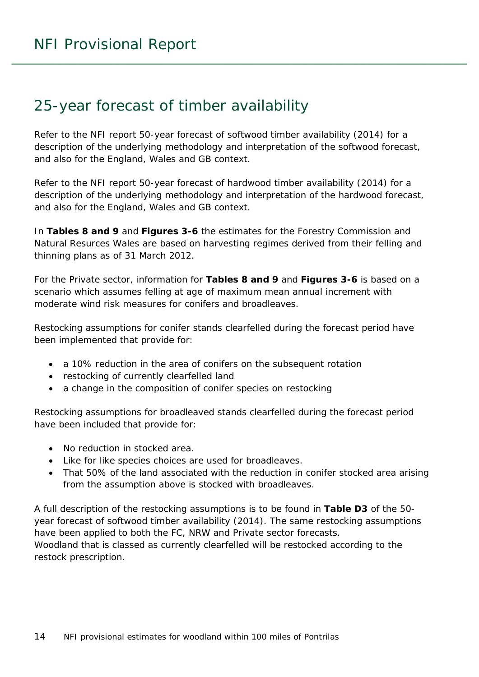### <span id="page-13-0"></span>25-year forecast of timber availability

Refer to the NFI report *50-year forecast of softwood timber availability* (2014) for a description of the underlying methodology and interpretation of the softwood forecast, and also for the England, Wales and GB context.

Refer to the NFI report *50-year forecast of hardwood timber availability* (2014) for a description of the underlying methodology and interpretation of the hardwood forecast, and also for the England, Wales and GB context.

In **Tables 8 and 9** and **Figures 3-6** the estimates for the Forestry Commission and Natural Resurces Wales are based on harvesting regimes derived from their felling and thinning plans as of 31 March 2012.

For the Private sector, information for **Tables 8 and 9** and **Figures 3-6** is based on a scenario which assumes felling at age of maximum mean annual increment with moderate wind risk measures for conifers and broadleaves.

Restocking assumptions for conifer stands clearfelled during the forecast period have been implemented that provide for:

- a 10% reduction in the area of conifers on the subsequent rotation
- restocking of currently clearfelled land
- a change in the composition of conifer species on restocking

Restocking assumptions for broadleaved stands clearfelled during the forecast period have been included that provide for:

- No reduction in stocked area.
- Like for like species choices are used for broadleaves.
- That 50% of the land associated with the reduction in conifer stocked area arising from the assumption above is stocked with broadleaves.

A full description of the restocking assumptions is to be found in **Table D3** of the *50 year forecast of softwood timber availability* (2014). The same restocking assumptions have been applied to both the FC, NRW and Private sector forecasts. Woodland that is classed as currently clearfelled will be restocked according to the restock prescription.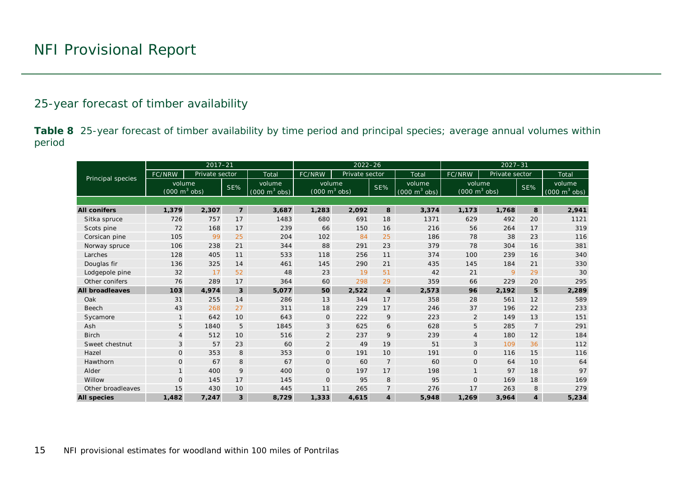#### 25-year forecast of timber availability

**Table 8** 25-year forecast of timber availability by time period and principal species; average annual volumes within period

<span id="page-14-0"></span>

|                        |                                           | $2017 - 21$    |                         |                                           |                                           | $2022 - 26$    |                | $2027 - 31$                               |                                           |       |                |                                           |
|------------------------|-------------------------------------------|----------------|-------------------------|-------------------------------------------|-------------------------------------------|----------------|----------------|-------------------------------------------|-------------------------------------------|-------|----------------|-------------------------------------------|
| Principal species      | FC/NRW                                    | Private sector |                         | Total                                     | FC/NRW                                    | Private sector |                | Total                                     | FC/NRW<br>Private sector                  |       |                | Total                                     |
|                        | volume<br>$(000 \text{ m}^3 \text{ obs})$ |                | SE%                     | volume<br>$(000 \text{ m}^3 \text{ obs})$ | volume<br>$(000 \text{ m}^3 \text{ obs})$ |                | $SE\%$         | volume<br>$(000 \text{ m}^3 \text{ obs})$ | volume<br>$(000 \text{ m}^3 \text{ obs})$ |       | SE%            | volume<br>$(000 \text{ m}^3 \text{ obs})$ |
|                        |                                           |                |                         |                                           |                                           |                |                |                                           |                                           |       |                |                                           |
| <b>All conifers</b>    | 1,379                                     | 2,307          | $\overline{7}$          | 3,687                                     | 1,283                                     | 2,092          | 8              | 3,374                                     | 1,173                                     | 1,768 | 8              | 2,941                                     |
| Sitka spruce           | 726                                       | 757            | 17                      | 1483                                      | 680                                       | 691            | 18             | 1371                                      | 629                                       | 492   | 20             | 1121                                      |
| Scots pine             | 72                                        | 168            | 17                      | 239                                       | 66                                        | 150            | 16             | 216                                       | 56                                        | 264   | 17             | 319                                       |
| Corsican pine          | 105                                       | 99             | 25                      | 204                                       | 102                                       | 84             | 25             | 186                                       | 78                                        | 38    | 23             | 116                                       |
| Norway spruce          | 106                                       | 238            | 21                      | 344                                       | 88                                        | 291            | 23             | 379                                       | 78                                        | 304   | 16             | 381                                       |
| Larches                | 128                                       | 405            | 11                      | 533                                       | 118                                       | 256            | 11             | 374                                       | 100                                       | 239   | 16             | 340                                       |
| Douglas fir            | 136                                       | 325            | 14                      | 461                                       | 145                                       | 290            | 21             | 435                                       | 145                                       | 184   | 21             | 330                                       |
| Lodgepole pine         | 32                                        | 17             | 52                      | 48                                        | 23                                        | 19             | 51             | 42                                        | 21                                        | 9     | 29             | 30                                        |
| Other conifers         | 76                                        | 289            | 17                      | 364                                       | 60                                        | 298            | 29             | 359                                       | 66                                        | 229   | 20             | 295                                       |
| <b>All broadleaves</b> | 103                                       | 4.974          | $\overline{\mathbf{3}}$ | 5,077                                     | 50                                        | 2,522          | $\overline{4}$ | 2,573                                     | 96                                        | 2,192 | 5              | 2,289                                     |
| Oak                    | 31                                        | 255            | 14                      | 286                                       | 13                                        | 344            | 17             | 358                                       | 28                                        | 561   | 12             | 589                                       |
| Beech                  | 43                                        | 268            | 27                      | 311                                       | 18                                        | 229            | 17             | 246                                       | 37                                        | 196   | 22             | 233                                       |
| Sycamore               | $\mathbf{1}$                              | 642            | 10                      | 643                                       | $\mathbf 0$                               | 222            | 9              | 223                                       | $\overline{2}$                            | 149   | 13             | 151                                       |
| Ash                    | 5                                         | 1840           | 5                       | 1845                                      | 3                                         | 625            | 6              | 628                                       | 5                                         | 285   | $\overline{7}$ | 291                                       |
| <b>Birch</b>           | $\overline{4}$                            | 512            | 10                      | 516                                       | $\overline{2}$                            | 237            | 9              | 239                                       | $\overline{4}$                            | 180   | 12             | 184                                       |
| Sweet chestnut         | 3                                         | 57             | 23                      | 60                                        | $\overline{2}$                            | 49             | 19             | 51                                        | 3                                         | 109   | 36             | 112                                       |
| Hazel                  | $\mathbf 0$                               | 353            | 8                       | 353                                       | $\mathbf 0$                               | 191            | 10             | 191                                       | $\mathsf{O}$                              | 116   | 15             | 116                                       |
| Hawthorn               | $\mathbf{O}$                              | 67             | 8                       | 67                                        | $\mathbf 0$                               | 60             | $\overline{7}$ | 60                                        | $\mathsf{O}$                              | 64    | 10             | 64                                        |
| Alder                  | $\mathbf{1}$                              | 400            | 9                       | 400                                       | $\mathbf 0$                               | 197            | 17             | 198                                       | $\mathbf{1}$                              | 97    | 18             | 97                                        |
| Willow                 | $\mathbf{O}$                              | 145            | 17                      | 145                                       | $\mathbf{O}$                              | 95             | 8              | 95                                        | $\mathsf{O}$                              | 169   | 18             | 169                                       |
| Other broadleaves      | 15                                        | 430            | 10                      | 445                                       | 11                                        | 265            | $\overline{7}$ | 276                                       | 17                                        | 263   | 8              | 279                                       |
| <b>All species</b>     | 1,482                                     | 7,247          | 3                       | 8,729                                     | 1,333                                     | 4,615          | 4              | 5,948                                     | 1,269                                     | 3,964 | $\overline{4}$ | 5,234                                     |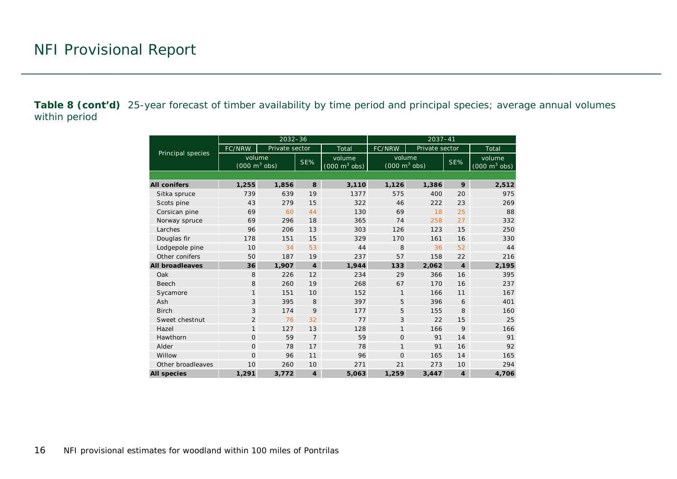**Table 8 (cont'd)** 25-year forecast of timber availability by time period and principal species; average annual volumes within period

|                        |                                           | $2032 - 36$    |                |                                           | $2037 - 41$                                      |                |                |                                           |  |  |  |
|------------------------|-------------------------------------------|----------------|----------------|-------------------------------------------|--------------------------------------------------|----------------|----------------|-------------------------------------------|--|--|--|
| Principal species      | FC/NRW                                    | Private sector |                | Total                                     | FC/NRW                                           | Private sector |                | Total                                     |  |  |  |
|                        | volume<br>$(000 \text{ m}^3 \text{ obs})$ |                | SE%            | volume<br>$(000 \text{ m}^3 \text{ obs})$ | volume<br>SE%<br>$(000 \text{ m}^3 \text{ obs})$ |                |                | volume<br>$(000 \text{ m}^3 \text{ obs})$ |  |  |  |
|                        |                                           |                |                |                                           |                                                  |                |                |                                           |  |  |  |
| <b>All conifers</b>    | 1,255                                     | 1,856          | 8              | 3,110                                     | 1,126                                            | 1,386          | 9              | 2,512                                     |  |  |  |
| Sitka spruce           | 739                                       | 639            | 19             | 1377                                      | 575                                              | 400            | 20             | 975                                       |  |  |  |
| Scots pine             | 43                                        | 279            | 15             | 322                                       | 46                                               | 222            | 23             | 269                                       |  |  |  |
| Corsican pine          | 69                                        | 60             | 44             | 130                                       | 69                                               | 18             | 25             | 88                                        |  |  |  |
| Norway spruce          | 69                                        | 296            | 18             | 365                                       | 74                                               | 258            | 27             | 332                                       |  |  |  |
| Larches                | 96                                        | 206            | 13             | 303                                       | 126                                              | 123            | 15             | 250                                       |  |  |  |
| Douglas fir            | 178                                       | 151            | 15             | 329                                       | 170                                              | 161            | 16             | 330                                       |  |  |  |
| Lodgepole pine         | 10                                        | 34             | 53             | 44                                        | 8                                                | 36             | 52             | 44                                        |  |  |  |
| Other conifers         | 50                                        | 187            | 19             | 237                                       | 57                                               | 158            | 22             | 216                                       |  |  |  |
| <b>All broadleaves</b> | 36                                        | 1,907          | $\overline{4}$ | 1,944                                     | 133                                              | 2,062          | $\overline{4}$ | 2,195                                     |  |  |  |
| Oak                    | 8                                         | 226            | 12             | 234                                       | 29                                               | 366            | 16             | 395                                       |  |  |  |
| <b>Beech</b>           | 8                                         | 260            | 19             | 268                                       | 67                                               | 170            | 16             | 237                                       |  |  |  |
| Sycamore               | $\mathbf{1}$                              | 151            | 10             | 152                                       | $\mathbf{1}$                                     | 166            | 11             | 167                                       |  |  |  |
| Ash                    | 3                                         | 395            | 8              | 397                                       | 5                                                | 396            | 6              | 401                                       |  |  |  |
| <b>Birch</b>           | 3                                         | 174            | 9              | 177                                       | 5                                                | 155            | 8              | 160                                       |  |  |  |
| Sweet chestnut         | $\overline{2}$                            | 76             | 32             | 77                                        | 3                                                | 22             | 15             | 25                                        |  |  |  |
| Hazel                  | $\mathbf{1}$                              | 127            | 13             | 128                                       | $\mathbf{1}$                                     | 166            | 9              | 166                                       |  |  |  |
| Hawthorn               | $\Omega$                                  | 59             | $\overline{7}$ | 59                                        | $\Omega$                                         | 91             | 14             | 91                                        |  |  |  |
| Alder                  | $\mathbf{O}$                              | 78             | 17             | 78                                        | $\mathbf{1}$                                     | 91             | 16             | 92                                        |  |  |  |
| Willow                 | $\Omega$                                  | 96             | 11             | 96                                        | $\Omega$                                         | 165            | 14             | 165                                       |  |  |  |
| Other broadleaves      | 10                                        | 260            | 10             | 271                                       | 21                                               | 273            | 10             | 294                                       |  |  |  |
| <b>All species</b>     | 1,291                                     | 3,772          | $\overline{4}$ | 5,063                                     | 1,259                                            | 3.447          | $\overline{4}$ | 4,706                                     |  |  |  |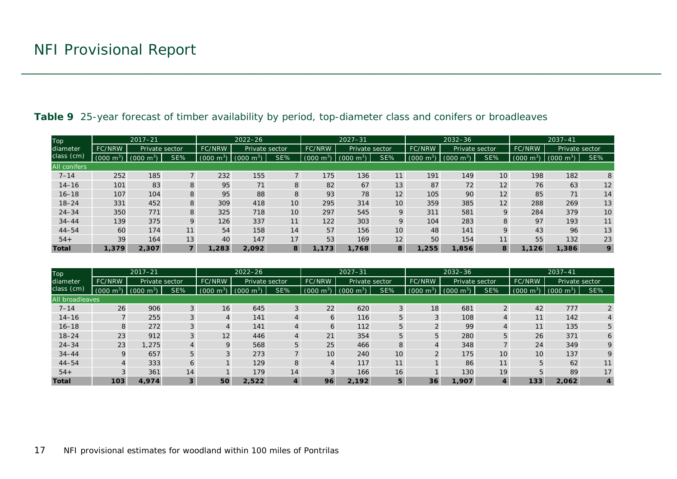| Top                 |                                 | $2017 - 21$                    |     |                                 | $2022 - 26$     |               |                | $2027 - 31$ |                 | $2032 - 36$    |                         |                 | $2037 - 41$      |                        |                 |
|---------------------|---------------------------------|--------------------------------|-----|---------------------------------|-----------------|---------------|----------------|-------------|-----------------|----------------|-------------------------|-----------------|------------------|------------------------|-----------------|
| diameter            | <b>FC/NRW</b><br>Private sector |                                |     | Private sector<br><b>FC/NRW</b> |                 | <b>FC/NRW</b> | Private sector |             | FC/NRW          | Private sector |                         | FC/NRW          | Private sector   |                        |                 |
| class (cm)          | $(000 \text{ m}^3)$             | $\sim$ m <sup>3</sup><br>(000) | SE% | $+m^{3}$<br>(000)               | (000<br>$m^{3}$ | SE%           | (000)<br>im."  | 000)        | SE%             | 000<br>$m^{3}$ | m <sup>3</sup><br>(000) | SE%             | (000 m $\rm ^3)$ | m <sup>3</sup><br>(000 | SE%             |
| <b>All conifers</b> |                                 |                                |     |                                 |                 |               |                |             |                 |                |                         |                 |                  |                        |                 |
| $7 - 14$            | 252                             | 185                            |     | 232                             | 155             |               | 175            | 136         | 11              | 191            | 149                     | 10 <sup>°</sup> | 198              | 182                    | 8               |
| $14 - 16$           | 101                             | 83                             | 8   | 95                              | 71              | 8             | 82             | 67          | 13              | 87             | 72                      | 12              | 76               | 63                     | 12              |
| $16 - 18$           | 107                             | 104                            | 8   | 95                              | 88              | 8             | 93             | 78          | 12              | 105            | 90                      | 12              | 85               | 71                     | 14              |
| $18 - 24$           | 331                             | 452                            | 8   | 309                             | 418             | 10            | 295            | 314         | 10 <sup>°</sup> | 359            | 385                     | 12              | 288              | 269                    | 13              |
| $24 - 34$           | 350                             | 771                            | 8   | 325                             | 718             | 10            | 297            | 545         | 9               | 311            | 581                     | 9               | 284              | 379                    | 10 <sup>°</sup> |
| $34 - 44$           | 139                             | 375                            | 9   | 126                             | 337             | 11            | 122            | 303         | 9               | 104            | 283                     | 8               | 97               | 193                    | 11              |
| $44 - 54$           | 60                              | 174                            | 11  | 54                              | 158             | 14            | 57             | 156         | 10 <sup>°</sup> | 48             | 141                     | 9               | 43               | 96                     | 13              |
| $54+$               | 39                              | 164                            | 13  | 40                              | 147             | 17            | 53             | 169         | 12              | 50             | 154                     | 11              | 55               | 132                    | 23              |
| <b>Total</b>        | 1,379                           | 2.307                          |     | 1,283                           | 2.092           | 8             | 1.173          | 1,768       | 8               | 1,255          | 1,856                   | 8               | 1.126            | 1,386                  | 9               |

#### **Table 9** 25-year forecast of timber availability by period, top-diameter class and conifers or broadleaves

<span id="page-16-0"></span>

| Top             |                        | $2017 - 21$           |     |                          | $2022 - 26$             |                |                         | $2027 - 31$         |        |                     | $2032 - 36$         |                | $2037 - 41$            |                         |     |  |
|-----------------|------------------------|-----------------------|-----|--------------------------|-------------------------|----------------|-------------------------|---------------------|--------|---------------------|---------------------|----------------|------------------------|-------------------------|-----|--|
| diameter        | <b>FC/NRW</b>          | Private sector        |     | Private sector<br>FC/NRW |                         | FC/NRW         | Private sector          |                     | FC/NRW | Private sector      |                     | FC/NRW         | Private sector         |                         |     |  |
| class (cm)      | 000(<br>m <sup>3</sup> | $(000 \; \text{m}^3)$ | SE% | (000)<br>m <sup>3</sup>  | m <sup>3</sup><br>(000) | SE%            | m <sup>3</sup><br>(000) | $(000 \text{ m}^3)$ | SE%    | $(000 \text{ m}^3)$ | $(000 \text{ m}^3)$ | SE%            | m <sup>3</sup><br>000( | (000)<br>m <sup>3</sup> | SE% |  |
| All broadleaves |                        |                       |     |                          |                         |                |                         |                     |        |                     |                     |                |                        |                         |     |  |
| $7 - 14$        | 26                     | 906                   | 3   | 16                       | 645                     | 3              | 22                      | 620                 | 3      | 18                  | 681                 | $\overline{2}$ | 42                     | 777                     |     |  |
| $14 - 16$       |                        | 255                   |     |                          | 141                     | $\overline{A}$ | $\circ$                 | 116                 | 5      |                     | 108                 | 4              | 11                     | 142                     |     |  |
| $16 - 18$       | 8                      | 272                   | 3   | 4                        | 141                     | $\overline{4}$ | b                       | 112                 | 5      |                     | 99                  | 4              | 11                     | 135                     | 5   |  |
| $18 - 24$       | 23                     | 912                   |     | 12                       | 446                     | $\overline{4}$ | 21                      | 354                 | 5      |                     | 280                 | 5              | 26                     | 371                     |     |  |
| $24 - 34$       | 23                     | 1,275                 | 4   | $\mathsf Q$              | 568                     | 5              | 25                      | 466                 | 8      |                     | 348                 |                | 24                     | 349                     |     |  |
| $34 - 44$       | $\mathsf Q$            | 657                   | 5   | $\sim$                   | 273                     |                | 10                      | 240                 | 10     | $\Omega$            | 175                 | 10             | 10 <sup>°</sup>        | 137                     |     |  |
| $44 - 54$       |                        | 333                   | 6   |                          | 129                     | 8              |                         | 117                 | 11     |                     | 86                  | 11             |                        | 62                      | 11  |  |
| $54+$           |                        | 361                   | 14  |                          | 179                     | 14             |                         | 166                 | 16     |                     | 130                 | 19             |                        | 89                      | 17  |  |
| <b>Total</b>    | 103                    | 4,974                 | 3   | 50                       | 2.522                   | 4              | 96                      | 2.192               | 5      | 36                  | 1,907               | $\overline{4}$ | 133                    | 2.062                   | 4   |  |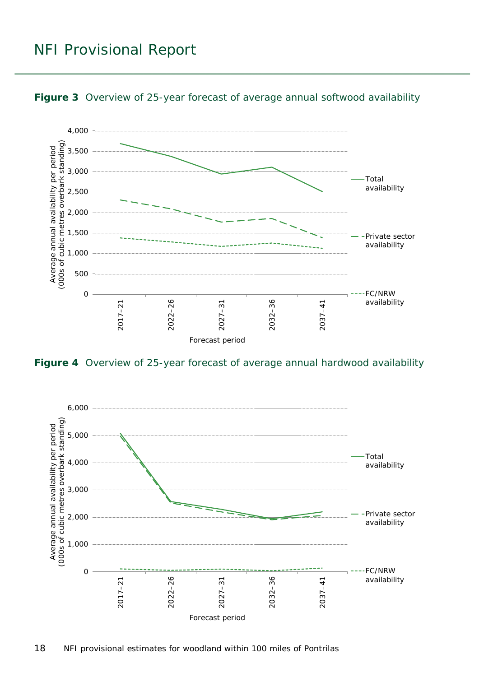### NFI Provisional Report



<span id="page-17-0"></span>

<span id="page-17-1"></span>**Figure 4** Overview of 25-year forecast of average annual hardwood availability

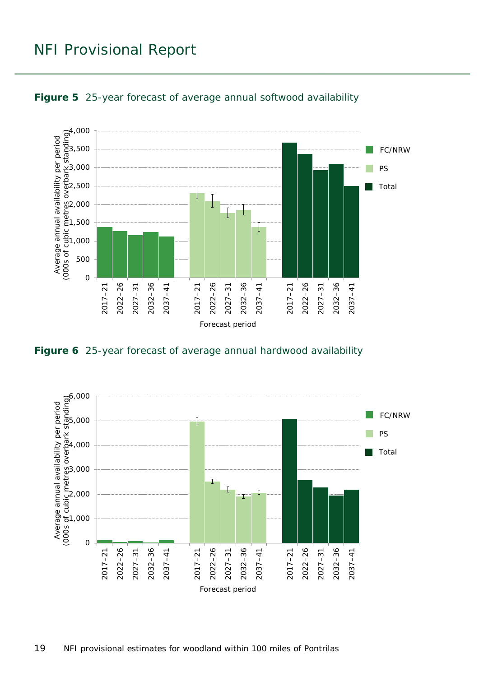### NFI Provisional Report



<span id="page-18-0"></span>

<span id="page-18-1"></span>**Figure 6** 25-year forecast of average annual hardwood availability